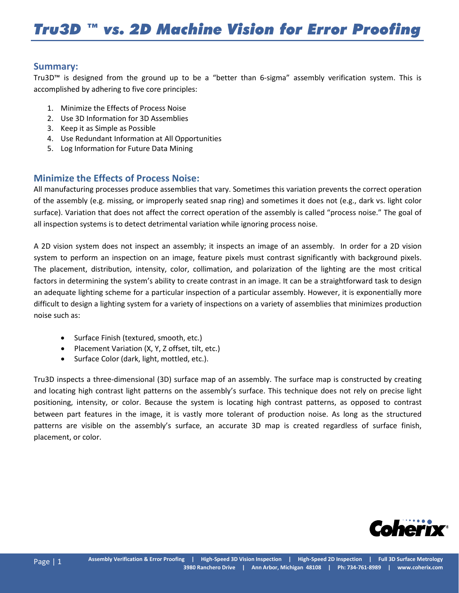## **Summary:**

Tru3D™ is designed from the ground up to be a "better than 6-sigma" assembly verification system. This is accomplished by adhering to five core principles:

- 1. Minimize the Effects of Process Noise
- 2. Use 3D Information for 3D Assemblies
- 3. Keep it as Simple as Possible
- 4. Use Redundant Information at All Opportunities
- 5. Log Information for Future Data Mining

# **Minimize the Effects of Process Noise:**

All manufacturing processes produce assemblies that vary. Sometimes this variation prevents the correct operation of the assembly (e.g. missing, or improperly seated snap ring) and sometimes it does not (e.g., dark vs. light color surface). Variation that does not affect the correct operation of the assembly is called "process noise." The goal of all inspection systems is to detect detrimental variation while ignoring process noise.

A 2D vision system does not inspect an assembly; it inspects an image of an assembly. In order for a 2D vision system to perform an inspection on an image, feature pixels must contrast significantly with background pixels. The placement, distribution, intensity, color, collimation, and polarization of the lighting are the most critical factors in determining the system's ability to create contrast in an image. It can be a straightforward task to design an adequate lighting scheme for a particular inspection of a particular assembly. However, it is exponentially more difficult to design a lighting system for a variety of inspections on a variety of assemblies that minimizes production noise such as:

- Surface Finish (textured, smooth, etc.)
- Placement Variation (X, Y, Z offset, tilt, etc.)
- Surface Color (dark, light, mottled, etc.).

Tru3D inspects a three-dimensional (3D) surface map of an assembly. The surface map is constructed by creating and locating high contrast light patterns on the assembly's surface. This technique does not rely on precise light positioning, intensity, or color. Because the system is locating high contrast patterns, as opposed to contrast between part features in the image, it is vastly more tolerant of production noise. As long as the structured patterns are visible on the assembly's surface, an accurate 3D map is created regardless of surface finish, placement, or color.

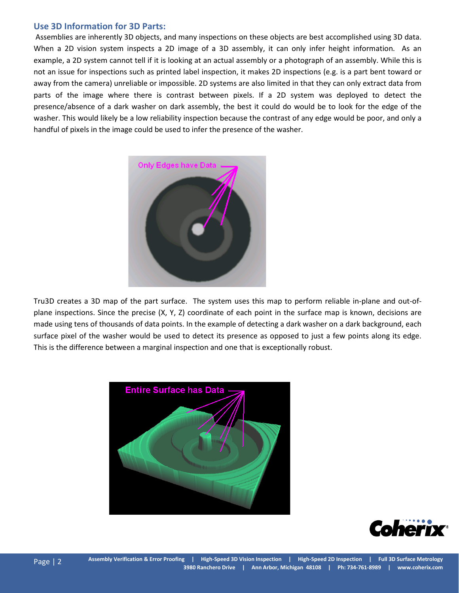#### **Use 3D Information for 3D Parts:**

Assemblies are inherently 3D objects, and many inspections on these objects are best accomplished using 3D data. When a 2D vision system inspects a 2D image of a 3D assembly, it can only infer height information. As an example, a 2D system cannot tell if it is looking at an actual assembly or a photograph of an assembly. While this is not an issue for inspections such as printed label inspection, it makes 2D inspections (e.g. is a part bent toward or away from the camera) unreliable or impossible. 2D systems are also limited in that they can only extract data from parts of the image where there is contrast between pixels. If a 2D system was deployed to detect the presence/absence of a dark washer on dark assembly, the best it could do would be to look for the edge of the washer. This would likely be a low reliability inspection because the contrast of any edge would be poor, and only a handful of pixels in the image could be used to infer the presence of the washer.



Tru3D creates a 3D map of the part surface. The system uses this map to perform reliable in-plane and out-ofplane inspections. Since the precise (X, Y, Z) coordinate of each point in the surface map is known, decisions are made using tens of thousands of data points. In the example of detecting a dark washer on a dark background, each surface pixel of the washer would be used to detect its presence as opposed to just a few points along its edge. This is the difference between a marginal inspection and one that is exceptionally robust.



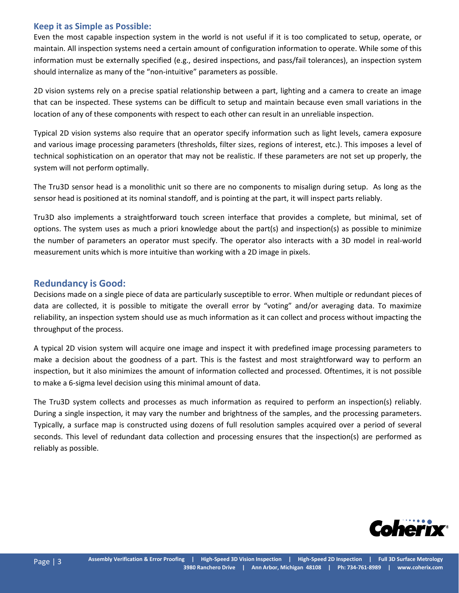#### **Keep it as Simple as Possible:**

Even the most capable inspection system in the world is not useful if it is too complicated to setup, operate, or maintain. All inspection systems need a certain amount of configuration information to operate. While some of this information must be externally specified (e.g., desired inspections, and pass/fail tolerances), an inspection system should internalize as many of the "non-intuitive" parameters as possible.

2D vision systems rely on a precise spatial relationship between a part, lighting and a camera to create an image that can be inspected. These systems can be difficult to setup and maintain because even small variations in the location of any of these components with respect to each other can result in an unreliable inspection.

Typical 2D vision systems also require that an operator specify information such as light levels, camera exposure and various image processing parameters (thresholds, filter sizes, regions of interest, etc.). This imposes a level of technical sophistication on an operator that may not be realistic. If these parameters are not set up properly, the system will not perform optimally.

The Tru3D sensor head is a monolithic unit so there are no components to misalign during setup. As long as the sensor head is positioned at its nominal standoff, and is pointing at the part, it will inspect parts reliably.

Tru3D also implements a straightforward touch screen interface that provides a complete, but minimal, set of options. The system uses as much a priori knowledge about the part(s) and inspection(s) as possible to minimize the number of parameters an operator must specify. The operator also interacts with a 3D model in real-world measurement units which is more intuitive than working with a 2D image in pixels.

## **Redundancy is Good:**

Decisions made on a single piece of data are particularly susceptible to error. When multiple or redundant pieces of data are collected, it is possible to mitigate the overall error by "voting" and/or averaging data. To maximize reliability, an inspection system should use as much information as it can collect and process without impacting the throughput of the process.

A typical 2D vision system will acquire one image and inspect it with predefined image processing parameters to make a decision about the goodness of a part. This is the fastest and most straightforward way to perform an inspection, but it also minimizes the amount of information collected and processed. Oftentimes, it is not possible to make a 6-sigma level decision using this minimal amount of data.

The Tru3D system collects and processes as much information as required to perform an inspection(s) reliably. During a single inspection, it may vary the number and brightness of the samples, and the processing parameters. Typically, a surface map is constructed using dozens of full resolution samples acquired over a period of several seconds. This level of redundant data collection and processing ensures that the inspection(s) are performed as reliably as possible.